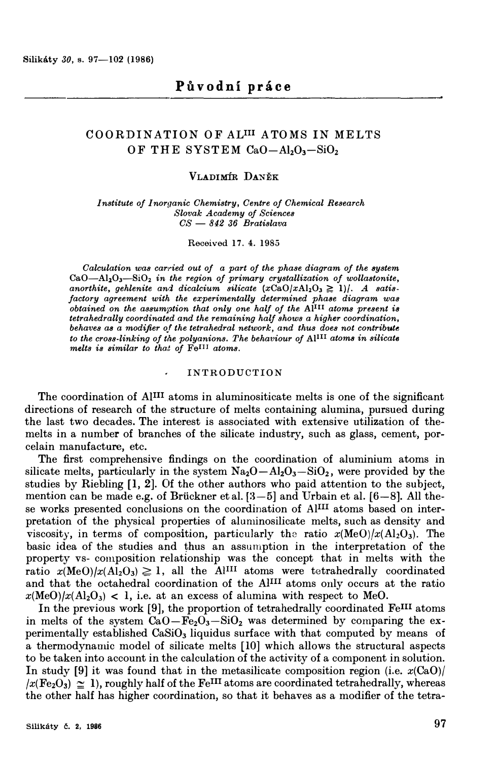# COORDINATION OF ALIII ATOMS IN MELTS OF THE SYSTEM  $CaO - Al_2O_3-SiO_2$

# **VLADIMIR DANEK**

*Institute of Inoraanic Chemistry, Centre of Chemical Research Slovak Academy of Sciences CS - 842 36 Bratislava* 

**Received 17. 4. 1985** 

*Calculation was carried out of a part of the phase diagram of the system*  **CaO-AhO**3**-SiO**2 *in the region of primary crystallization of wollastonite,*  anorthite, gehlenite and dicalcium silicate  $(xCaO/xA1_2O_3 \ge 1)/$ . A satis*factory agreement with the experimentally determined phase diagram was obtained on the assumption that only one half of the Al1II atoms present is tetrahedrally coordinated and the remaining half shows a higher coordination, behaves as a modifier of the tetrahedral network, and thus does not contribute to the cross-linking of the polyanions. The behaviour of Al1II atoms in silicate melts is similar to thai of FeII1 atoms.* 

## **INTRODUCTION**

The coordination of AIIII atoms in aluminositicate melts is one of the significant directions of research of the structure of melts containing alumina, pursued during the last two decades. The interest is associated with extensive utilization of themelts in a number of branches of the silicate industry, such as glass, cement, porcelain manufacture, etc.

The first comprehensive findings on the coordination of aluminium atoms in silicate melts, particularly in the system  $Na_2O - Al_2O_3 - SiO_2$ , were provided by the studies by Riebling [l, 2). Of the other authors who paid attention to the subject, mention can be made e.g. of Brückner et al.  $[3-5]$  and Urbain et al.  $[6-8]$ . All these works presented conclusions on the coordination of AlIII atoms based on interpretation of the physical properties of aluminosilicate melts, such as density and viscosity, in terms of composition, particularly the ratio  $x(\text{MeO})/x(\text{Al}_2\text{O}_3)$ . The basic idea of the studies and thus an assumption in the interpretation of the property vs- composition relationship was the concept that in melts with the ratio  $x(\text{MeO})/x(\text{Al}_2\text{O}_3) \geq 1$ , all the Al<sup>III</sup> atoms were tetrahedrally coordinated and that the octahedral coordination of the AlIII atoms only occurs at the ratio  $x(\text{MeO})/x(\text{Al}_2\text{O}_3)$  < 1, i.e. at an excess of alumina with respect to MeO.

In the previous work [9], the proportion of tetrahedrally coordinated FeIII atoms in melts of the system  $CaO-Fe<sub>2</sub>O<sub>3</sub> - SiO<sub>2</sub>$  was determined by comparing the experimentally established  $CaSiO<sub>3</sub>$  liquidus surface with that computed by means of a thermodynamic model of silicate melts [10) which allows the structural aspects to be taken into account in the calculation of the activity of a component in solution\_ In study [9] it was found that in the metasilicate composition region (i.e.  $x(CaO)/$  $\sqrt{x(\text{Fe}_2\text{O}_3)} \approx 1$ , roughly half of the FeIII atoms are coordinated tetrahedrally, whereas the other half has higher coordination, so that it behaves as a modifier of the tetra-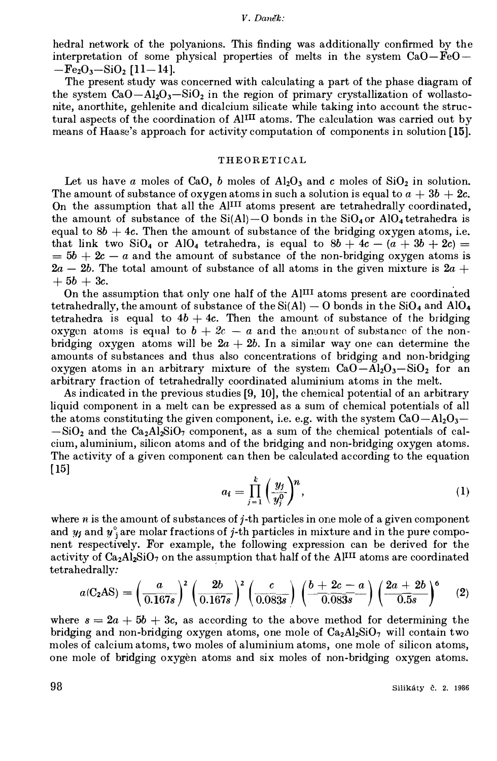hedral network of the polyanions. This finding was additionally confirmed by the interpretation of some physical properties of melts in the system  $CaO - FeO -Fe<sub>2</sub>O<sub>3</sub> - SiO<sub>2</sub>$  [11-14].

The present study was concerned with calculating a part of the phase diagram of the system  $CaO-Al<sub>2</sub>O<sub>3</sub> - SiO<sub>2</sub>$  in the region of primary crystallization of wollastonite, anorthite, gehlenite and dicalcium silicate while taking into account the structural aspects of the coordination of Al<sup>III</sup> atoms. The calculation was carried out by means of Haase's approach for activity computation of components in solution **[15].**

## **THEORETICAL**

Let us have a moles of CaO, b moles of  $\text{Al}_2\text{O}_3$  and c moles of SiO, in solution. The amount of substance of oxygen atoms in such a solution is equal to  $a + 3b + 2c$ . On the assumption that all the  $Al<sup>III</sup>$  atoms present are tetrahedrally coordinated, the amount of substance of the  $Si(A)$ –O bonds in the  $SiO<sub>4</sub>$  or  $AlO<sub>4</sub>$  tetrahedra is equal to  $8b + 4c$ . Then the amount of substance of the bridging oxygen atoms, i.e. that link two SiO<sub>4</sub> or AlO<sub>4</sub> tetrahedra, is equal to  $8b + 4c - (a + 3b + 2c) =$  $= 5b + 2c - a$  and the amount of substance of the non-bridging oxygen atoms is  $2a - 2b$ . The total amount of substance of all atoms in the given mixture is  $2a +$  $+ 5b + 3c.$ 

On the assumption that only one half of the AlIII atoms present are coordinated tetrahedrally, the amount of substance of the  $Si(A) - O$  bonds in the  $SiO<sub>4</sub>$  and  $AlO<sub>4</sub>$ tetrahedra is equal to  $4b + 4c$ . Then the amount of substance of the bridging oxygen atoms is equal to  $b + 2c - a$  and the amount of substance of the nonbridging oxygen atoms will be  $2a + 2b$ . In a similar way one can determine the amounts of substances and thus also concentrations of bridging and non-bridging oxygen atoms in an arbitrary mixture of the system  $CaO-Al<sub>2</sub>O<sub>3</sub>-SiO<sub>2</sub>$  for an arbitrary fraction of tetrahedrally coordinated aluminium atoms in the melt.

As indicated in the previous studies [9, 10], the chemical potential of an arbitrary liquid component in a melt can be expressed as a sum of chemical potentials of all the atoms constituting the given component, i.e. e.g. with the system  $CaO - Al<sub>2</sub>O<sub>3</sub>$  $-SiO<sub>2</sub>$  and the  $Ca<sub>2</sub>A<sub>2</sub>SiO<sub>7</sub>$  component, as a sum of the chemical potentials of calcium, aluminium, silicon atoms and of the bridging and non-bridging oxygen atoms. The activity of a given component can then be calculated according to the equation [15]

$$
a_i = \prod_{j=1}^k \left(\frac{y_j}{y_j^0}\right)^n, \tag{1}
$$

where  $n$  is the amount of substances of  $j$ -th particles in one mole of a given component and  $y_j$  and  $y_j$  are molar fractions of j-th particles in mixture and in the pure component respectively. For example, the following expression can be derived for the activity of  $Ca<sub>2</sub>Al<sub>2</sub>SiO<sub>7</sub>$  on the assumption that half of the AlIII atoms are coordinated tetrahedrally:

$$
a(C_2AS) = \left(\frac{a}{0.167s}\right)^2 \left(\frac{2b}{0.167s}\right)^2 \left(\frac{c}{0.083s}\right) \left(\frac{b+2c-a}{0.083s}\right) \left(\frac{2a+2b}{0.5s}\right)^6 \quad (2)
$$

where  $s = 2a + 5b + 3c$ , as according to the above method for determining the bridging and non-bridging oxygen atoms, one mole of  $Ca_2Al_2SiO_7$  will contain two moles of calcium atoms, two moles of aluminium atoms, one mole of silicon atoms, one mole of bridging oxygen atoms and six moles of non-bridging oxygen atoms.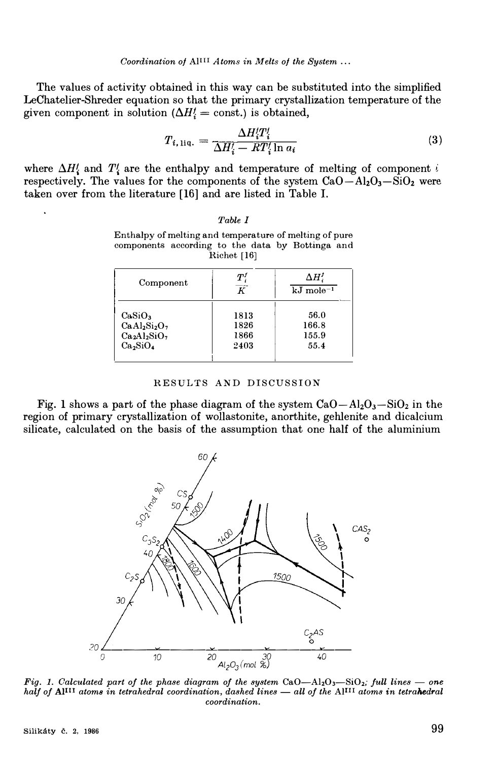The values of activity obtained in this way can be substituted into the simplified LeChatelier-Shreder equation so that the primary crystallization temperature of the given component in solution ( $\Delta H$ ! = const.) is obtained,

$$
T_{i,1iq.} = \frac{\Delta H_i'T_i'}{\Delta H_i' - RT_i'\ln a_i} \tag{3}
$$

where  $\Delta H'_{i}$  and  $T'_{i}$  are the enthalpy and temperature of melting of component i respectively. The values for the components of the system  $CaO - Al<sub>2</sub>O<sub>3</sub> - SiO<sub>2</sub>$  were taken over from the literature [16] and are listed in Table I.

| Table |  |
|-------|--|
|-------|--|

| Component                        | $\boldsymbol{T}$<br>$\overline{\kappa}$ | $\Delta H_i^f$<br>$kJ$ mole <sup>-1</sup> |  |
|----------------------------------|-----------------------------------------|-------------------------------------------|--|
| CaSiO <sub>3</sub>               | 1813                                    | 56.0                                      |  |
| $CaAl2Si2O7$                     | 1826                                    | 166.8                                     |  |
| $Ca2Al2SiO7$                     | 1866                                    | 155.9                                     |  |
| Ca <sub>2</sub> SiO <sub>4</sub> | 2403                                    | 55.4                                      |  |

| Enthalpy of melting and temperature of melting of pure |  |  |  |  |  |  |  |
|--------------------------------------------------------|--|--|--|--|--|--|--|
| components according to the data by Bottinga and       |  |  |  |  |  |  |  |
| Richet $[16]$                                          |  |  |  |  |  |  |  |

| RESULTS AND DISCUSSION |  |
|------------------------|--|
|------------------------|--|

Fig. 1 shows a part of the phase diagram of the system  $CaO - Al<sub>2</sub>O<sub>3</sub> - SiO<sub>2</sub>$  in the region of primary crystallization of wollastonite, anorthite, gehlenite and dicalcium silicate, calculated on the basis of the assumption that one half of the aluminium



*Fig. 1. Calculated part of the phase diagram of the system CaO-Al<sub>2</sub>O<sub>3</sub>-SiO<sub>2</sub>; <i>full lines - one half of Al<sup>III</sup> atoms in tetrahedral coordination, dashed lines — all of the Al<sup>III</sup> atoms in tetrahedral coordination.*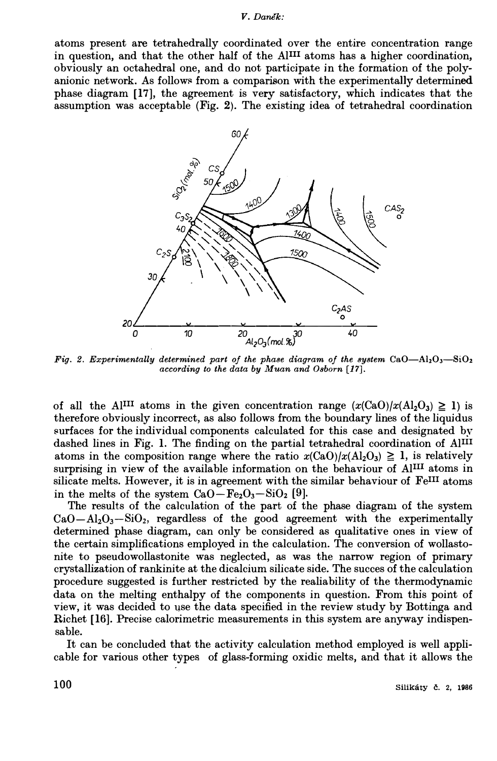#### *V. Danek:*

atoms present are tetrahedrally coordinated over the entire concentration range in question, and that the other half of the Al111 atoms has a higher coordination, obviously an octahedral one, and do not participate in the formation of the polyanionic network. As follows from a comparison with the experimentally determined phase diagram [17], the agreement is very satisfactory, which indicates that the assumption was acceptable (Fig. 2). The existing idea of tetrahedral coordination



*Fig. 2. Experimentally determined part of the phase diagram of the system*  $CaO-Al<sub>2</sub>O<sub>3</sub> - SiO<sub>2</sub>$ *according to the data by Muan and Osborn [17].* 

of all the Al<sup>III</sup> atoms in the given concentration range  $(x(CaO)/x(A<sub>2</sub>O<sub>3</sub>) \ge 1)$  is therefore obviously incorrect, as also follows from the boundary lines of the liquidus surfaces for the individual components calculated for this case and designated by dashed lines in Fig. 1. The finding on the partial tetrahedral coordination of Al<sup>III</sup> atoms in the composition range where the ratio  $x(CaO)/x(Al_2O_3) \geq 1$ , is relatively surprising in view of the available information on the behaviour of AlIII atoms in silicate melts. However, it is in agreement with the similar behaviour of FeIII atoms in the melts of the system  $CaO-Fe<sub>2</sub>O<sub>3</sub>-SiO<sub>2</sub>$  [9].

The results of the calculation of the part of the phase diagram of the system  $CaO - Al<sub>2</sub>O<sub>3</sub> - SiO<sub>2</sub>$ , regardless of the good agreement with the experimentally determined phase diagram, can only be considered as qualitative ones in view of the certain simplifications employed in the calculation. The conversion of wollastonite to pseudowollastonite was neglected, as was the narrow region of primary crystallization of rankinite at the dicalcium silicate side. The succes of the calculation procedure suggested is further restricted by the realiability of the thermodynamic data on the melting enthalpy of the components in question. From this point of view, it was decided to use the data specified in the review study by Bottinga and Richet [16]. Precise calorimetric measurements in this system are anyway indispensable.

It can be concluded that the activity calculation method employed is well applicable for various other types of glass-forming oxidic melts, and that it allows the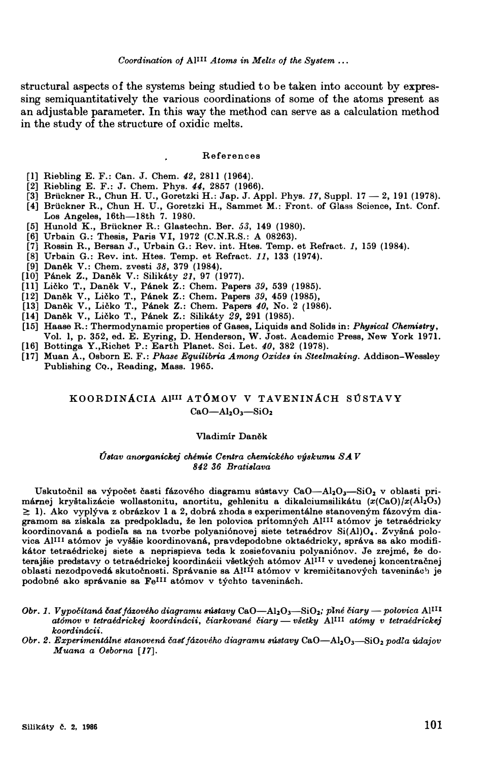**structural aspects of the systems being studied to be taken into account by expressing semiquantitatively the various coordinations of some of the atoms present as an adjustable parameter. In this way the method can serve as a calculation method in the study of the structure of oxidic melts.** 

## **References**

- **[l] Riebling E. F.: Can. J. Chem.** *42,* **28ll (1964).**
- **[2] Riebling E. F.: J. Chem. Phys.** *44,* **2857 (1966).**
- **[3] Briickner R., Chun H. U., Goretzki H.: Jap. J. Appl. Phys.** *17,* **Suppl. 17 - 2, 191 (1978).**
- **[4] Briickner R., Chun H. U., Goretzki H., Sammet M.: Front. of Glass Science, Int. Conf. Los Angeles, 16th-18th 7. 1980.**
- **[5] Hunold K., Briickner R.: Glastechn. Ber.** *53,* **149 (1980).**
- **[6] Urbain G.: Thesis, Paris VI, 1972 (C.N.R.S.: A 08263).**
- **[7] Rossin R., Bersan J., Urbain G.: Rev. int. Htes. Temp. et Refract.** *1,* **159 (1984).**
- **[8) Urbain G.: Rev. int. Htes. Temp. et Refract.** *11,* **133 (1974).**
- **[9) Dantlk V.: Chem. zvesti** *38,* **379 (1984).**
- **[10) Panek Z., Danek V.: Silikaty** *21,* **97 (1977).**
- **[II] Licko T., Danek V., Panek Z.: Chem. Papers** *39,* **539 (1985).**
- **[12) Danek V., Licko T., Panek Z.: Chem. Papers** *39,* **459 (1985),**
- **[13) Danek V., Licko T., Panek Z.: Chem. Papers** *40,* **No. 2 (1986).**
- **[14) Danek V., Licko T., Panek Z.: Silikaty** *29,* **291 (1985).**
- **[15] Haase R.: Thermodynamic properties of Gases, Liquids and Solids in:** *Physical Chemistry,* **Vol. l, p. 352, ed. E. Eyring, D. Henderson, W. Jost. Academic Press, New York 1971.**
- **[16] Bottinga Y.,Riohet P.: Earth Planet. Soi. Let.** *40,* **382 (1978).**
- **[17) Muan A., Osborn E. F.:** *Phase Equilibria Among Oxides in Steelmaking.* **Addison-Wessley Publishing CQ., Reading, Mass. 1965.**

# KOORDINACIA Al<sup>111</sup> ATÓMOV V TAVENINÁCH SÚSTAVY **CaO-Al2O3-SiO<sup>2</sup>**

## **Vladimir Danek**

#### *Ustav anorganickej chemie Centra chemickeho vyskumu SA V 842 36 Bratislava*

Uskutočnil sa výpočet časti fázového diagramu sústavy CaO-Al<sub>2</sub>O<sub>3</sub>-SiO<sub>2</sub> v oblasti pri**marnej krystalizaoie wollastonitu, anortitu, gehlenitu a dikaloiumsilikatu (x(CaO)/x(AhO3)**  ≥ 1). Ako vyplýva z obrázkov 1 a 2, dobrá zhoda s experimentálne stanoveným fázovým dia**gramom sa ziskala za predpokladu, ze len polovioa pritomnyoh AfIII at6mov je tetraedrioky**  koordinovaná a podieľa sa na tvorbe polyaniónovej siete tetraédrov Si(Al)O<sub>4</sub>. Zvyšná polo-<br>vica Al<sup>111</sup> atómov je vyššie koordinovaná, pravdepodobne oktaédricky, správa sa ako modifikátor tetraédrickej siete a neprispieva teda k zosieťovaniu polyaniónov. Je zrejmé, že do**terajsie predstavy o tetraedriokej koordinaoii vsetkyoh at6mov AIII1 v uvedenej koncentracnej**  oblasti nezodpovedá skutočnosti. Správanie sa Al<sup>III</sup> atómov v kremičitanových taveninách je **podobne ako spra.vanie sa FeII1 at6mov v tyohto taveninaoh.** 

- *Obr. 1. Vypočítaná časť fázového diagramu sústavy CaO—Al***<sub>2</sub>O<sub>3</sub>—SiO<sub>2</sub>; plné čiary polovica Al<sup>III</sup>** *at6mov v tetraedrickej koordinacii, i5iarkovane i5iary- vsetky* **AIIII** *at6my v tetraedrickej koordinacii.*
- *Obr. 2. Experimentalne stanovena cast jazoveho diagramu sustavy* **CaO-Al2O3-SiO**2 *podla udajov Muana a Osborna [17].*